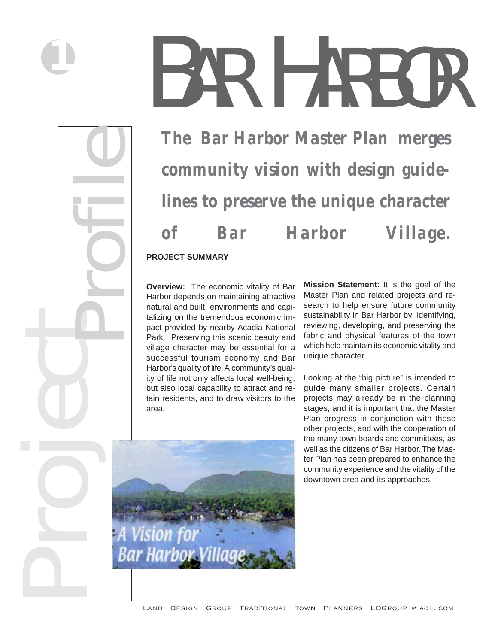# BAR HARBOR

*The Bar Harbor Master Plan merges community vision with design guidelines to preserve the unique character of Bar Harbor Village.*

**PROJECT SUMMARY**

**Overview:** The economic vitality of Bar Harbor depends on maintaining attractive natural and built environments and capitalizing on the tremendous economic impact provided by nearby Acadia National Park. Preserving this scenic beauty and village character may be essential for a successful tourism economy and Bar Harbor's quality of life. A community's quality of life not only affects local well-being, but also local capability to attract and retain residents, and to draw visitors to the area.

**Mission Statement:** It is the goal of the Master Plan and related projects and research to help ensure future community sustainability in Bar Harbor by identifying, reviewing, developing, and preserving the fabric and physical features of the town which help maintain its economic vitality and unique character.



Looking at the "big picture" is intended to guide many smaller projects. Certain projects may already be in the planning stages, and it is important that the Master Plan progress in conjunction with these other projects, and with the cooperation of the many town boards and committees, as well as the citizens of Bar Harbor. The Master Plan has been prepared to enhance the community experience and the vitality of the downtown area and its approaches.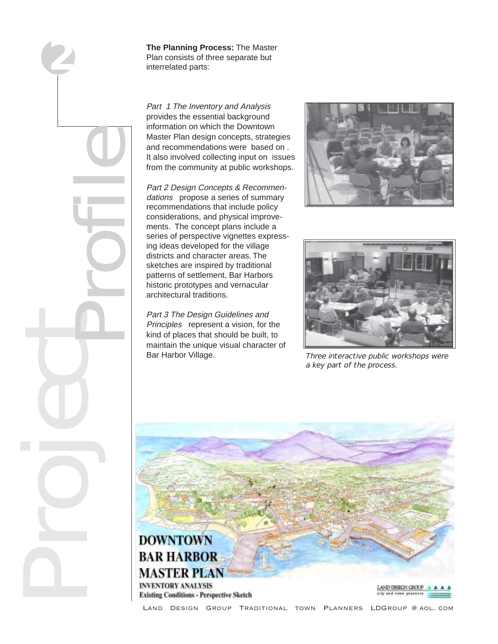

**The Planning Process:** The Master Plan consists of three separate but interrelated parts:

Part 1 The Inventory and Analysis provides the essential background information on which the Downtown Master Plan design concepts, strategies and recommendations were based on . It also involved collecting input on issues from the community at public workshops.

Part 2 Design Concepts & Recommendations propose a series of summary recommendations that include policy considerations, and physical improvements. The concept plans include a series of perspective vignettes expressing ideas developed for the village districts and character areas. The sketches are inspired by traditional patterns of settlement, Bar Harbors historic prototypes and vernacular architectural traditions.

Part 3 The Design Guidelines and Principles represent a vision, for the kind of places that should be built, to maintain the unique visual character of Bar Harbor Village. Three interactive public workshops were





a key part of the process.



Land Design Group Traditional town Planners LDGroup @ aol. com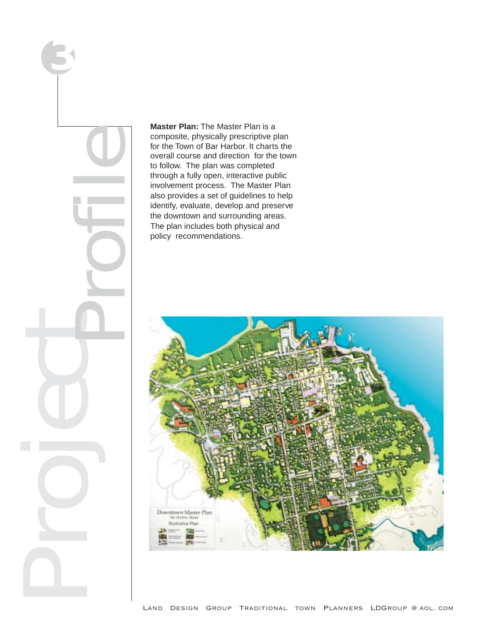

**Master Plan:** The Master Plan is a composite, physically prescriptive plan for the Town of Bar Harbor. It charts the overall course and direction for the town to follow. The plan was completed through a fully open, interactive public involvement process. The Master Plan also provides a set of guidelines to help identify, evaluate, develop and preserve the downtown and surrounding areas. The plan includes both physical and policy recommendations.

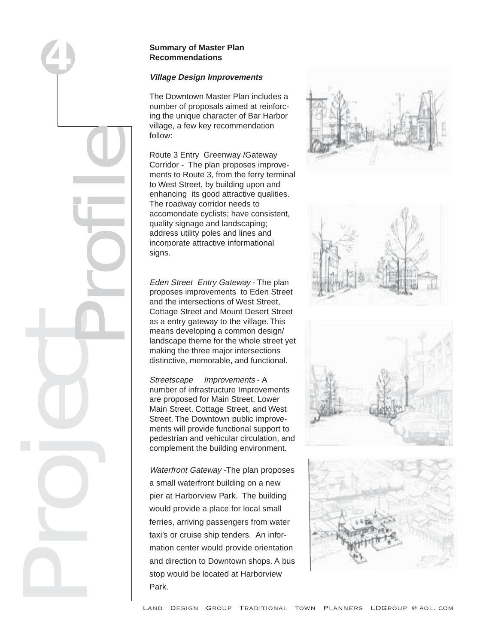## **Summary of Master Plan Recommendations**

# **Village Design Improvements**

The Downtown Master Plan includes a number of proposals aimed at reinforcing the unique character of Bar Harbor village, a few key recommendation follow:

Route 3 Entry Greenway /Gateway Corridor - The plan proposes improvements to Route 3, from the ferry terminal to West Street, by building upon and enhancing its good attractive qualities. The roadway corridor needs to accomondate cyclists; have consistent, quality signage and landscaping; address utility poles and lines and incorporate attractive informational signs.

Eden Street Entry Gateway - The plan proposes improvements to Eden Street and the intersections of West Street, Cottage Street and Mount Desert Street as a entry gateway to the village. This means developing a common design/ landscape theme for the whole street yet making the three major intersections distinctive, memorable, and functional.

Streetscape Improvements - A number of infrastructure Improvements are proposed for Main Street, Lower Main Street. Cottage Street, and West Street. The Downtown public improvements will provide functional support to pedestrian and vehicular circulation, and complement the building environment.

Waterfront Gateway - The plan proposes a small waterfront building on a new pier at Harborview Park. The building would provide a place for local small ferries, arriving passengers from water taxi's or cruise ship tenders. An information center would provide orientation and direction to Downtown shops. A bus stop would be located at Harborview Park.





Project Profile

**4**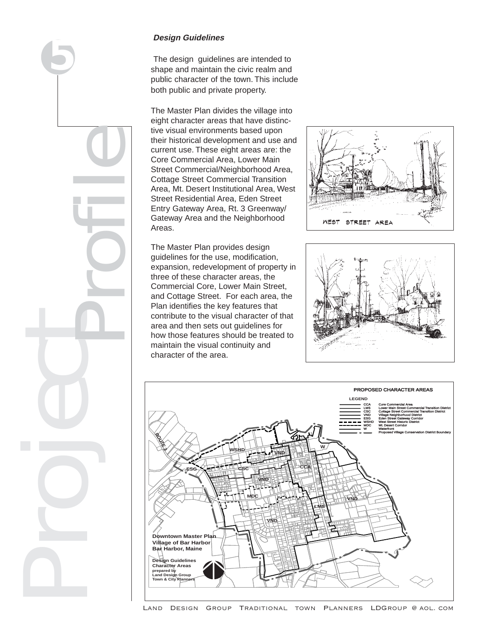Project Profile **5**

# **Design Guidelines**

The design guidelines are intended to shape and maintain the civic realm and public character of the town. This include both public and private property.

The Master Plan divides the village into eight character areas that have distinctive visual environments based upon their historical development and use and current use. These eight areas are: the Core Commercial Area, Lower Main Street Commercial/Neighborhood Area, Cottage Street Commercial Transition Area, Mt. Desert Institutional Area, West Street Residential Area, Eden Street Entry Gateway Area, Rt. 3 Greenway/ Gateway Area and the Neighborhood Areas.



The Master Plan provides design guidelines for the use, modification, expansion, redevelopment of property in three of these character areas, the Commercial Core, Lower Main Street, and Cottage Street. For each area, the Plan identifies the key features that contribute to the visual character of that area and then sets out guidelines for how those features should be treated to maintain the visual continuity and character of the area.





Land Design Group Traditional town Planners LDGroup @ aol. com